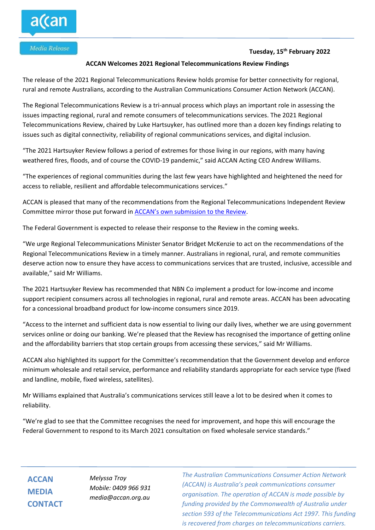## **Tuesday, 15 th February 2022**

## **ACCAN Welcomes 2021 Regional Telecommunications Review Findings**

The release of the 2021 Regional Telecommunications Review holds promise for better connectivity for regional, rural and remote Australians, according to the Australian Communications Consumer Action Network (ACCAN).

The Regional Telecommunications Review is a tri-annual process which plays an important role in assessing the issues impacting regional, rural and remote consumers of telecommunications services. The 2021 Regional Telecommunications Review, chaired by Luke Hartsuyker, has outlined more than a dozen key findings relating to issues such as digital connectivity, reliability of regional communications services, and digital inclusion.

"The 2021 Hartsuyker Review follows a period of extremes for those living in our regions, with many having weathered fires, floods, and of course the COVID-19 pandemic," said ACCAN Acting CEO Andrew Williams.

"The experiences of regional communities during the last few years have highlighted and heightened the need for access to reliable, resilient and affordable telecommunications services."

ACCAN is pleased that many of the recommendations from the Regional Telecommunications Independent Review Committee mirror those put forward in [ACCAN's own submission to the Review](https://accan.org.au/files/Submissions/2021/ACCAN%20submission%20RTIRC%202021.pdf).

The Federal Government is expected to release their response to the Review in the coming weeks.

"We urge Regional Telecommunications Minister Senator Bridget McKenzie to act on the recommendations of the Regional Telecommunications Review in a timely manner. Australians in regional, rural, and remote communities deserve action now to ensure they have access to communications services that are trusted, inclusive, accessible and available," said Mr Williams.

The 2021 Hartsuyker Review has recommended that NBN Co implement a product for low-income and income support recipient consumers across all technologies in regional, rural and remote areas. ACCAN has been advocating for a concessional broadband product for low-income consumers since 2019.

"Access to the internet and sufficient data is now essential to living our daily lives, whether we are using government services online or doing our banking. We're pleased that the Review has recognised the importance of getting online and the affordability barriers that stop certain groups from accessing these services," said Mr Williams.

ACCAN also highlighted its support for the Committee's recommendation that the Government develop and enforce minimum wholesale and retail service, performance and reliability standards appropriate for each service type (fixed and landline, mobile, fixed wireless, satellites).

Mr Williams explained that Australia's communications services still leave a lot to be desired when it comes to reliability.

"We're glad to see that the Committee recognises the need for improvement, and hope this will encourage the Federal Government to respond to its March 2021 consultation on fixed wholesale service standards."

**ACCAN MEDIA CONTACT**

*Melyssa Troy Mobile: 0409 966 931 media@accan.org.au*

*The Australian Communications Consumer Action Network (ACCAN) is Australia's peak communications consumer organisation. The operation of ACCAN is made possible by funding provided by the Commonwealth of Australia under section 593 of the Telecommunications Act 1997. This funding is recovered from charges on telecommunications carriers.*